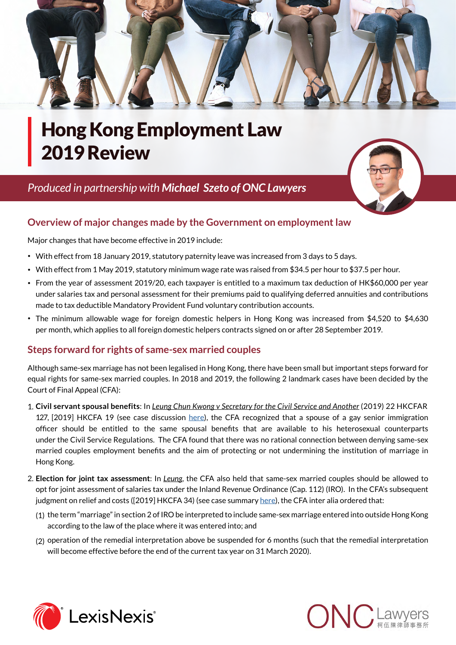

# Hong Kong Employment Law 2019 Review

## *Produced in partnership with [Michael Szeto of ONC Lawyers](http://www.onc.hk/en_US/michael-szeto/)*



## **Overview of major changes made by the Government on employment la[w](http://www.onc.hk/en_US/michael-szeto/)**

Major changes that have become effective in 2019 include:

- With effect from 18 January 2019, statutory paternity leave was increased from 3 days to 5 days.
- With effect from 1 May 2019, statutory minimum wage rate was raised from \$34.5 per hour to \$37.5 per hour.
- From the year of assessment 2019/20, each taxpayer is entitled to a maximum tax deduction of HK\$60,000 per year under salaries tax and personal assessment for their premiums paid to qualifying deferred annuities and contributions made to tax deductible Mandatory Provident Fund voluntary contribution accounts.
- The minimum allowable wage for foreign domestic helpers in Hong Kong was increased from \$4,520 to \$4,630 per month, which applies to all foreign domestic helpers contracts signed on or after 28 September 2019.

## **Steps forward for rights of same-sex married couples**

Although same-sex marriage has not been legalised in Hong Kong, there have been small but important steps forward for equal rights for same-sex married couples. In 2018 and 2019, the following 2 landmark cases have been decided by the Court of Final Appeal (CFA):

- 1. **Civil servant spousal benefits**: In *Leung Chun Kwong v Secretary for the Civil Service and Another* (2019) 22 HKCFAR 127, [2019] HKCFA 19 (see case discussion [here\)](http://www.onc.hk/en_US/gay-civil-servant-wins-final-appeal-spousal-benefits-husband/), the CFA recognized that a spouse of a gay senior immigration officer should be entitled to the same spousal benefits that are available to his heterosexual counterparts under the Civil Service Regulations. The CFA found that there was no rational connection between denying same-sex married couples employment benefits and the aim of protecting or not undermining the institution of marriage in Hong Kong.
- 2. **Election for joint tax assessment**: In *Leung*, the CFA also held that same-sex married couples should be allowed to opt for joint assessment of salaries tax under the Inland Revenue Ordinance (Cap. 112) (IRO). In the CFA's subsequent judgment on relief and costs ([2019] HKCFA 34) (see case summary [here\)](http://www.onc.hk/en_US/reinterpretation-hong-kong-tax-law-landmark-case-leung-chun-kwong-v-secretary-civil-service-commissioner-inland-revenue/?utm_source=rss&utm_medium=rss&utm_campaign=reinterpretation-hong-kong-tax-law-landmark-case-leung-chun-kwong-v-secretary-civil-service-commissioner-inland-revenue), the CFA inter alia ordered that:
	- (1) the term "marriage" in section 2 of IRO be interpreted to include same-sex marriage entered into outside Hong Kong according to the law of the place where it was entered into; and
	- (2) operation of the remedial interpretation above be suspended for 6 months (such that the remedial interpretation will become effective before the end of the current tax year on 31 March 2020).



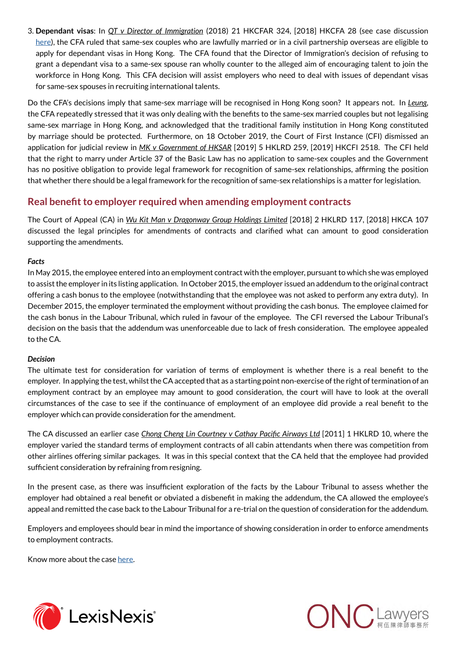3. **Dependant visas**: In *QT v Director of Immigration* (2018) 21 HKCFAR 324, [2018] HKCFA 28 (see case discussion [here\)](http://www.onc.hk/en_US/court-final-appeals-ruling-right-dependent-visas-sex-couples/), the CFA ruled that same-sex couples who are lawfully married or in a civil partnership overseas are eligible to apply for dependant visas in Hong Kong. The CFA found that the Director of Immigration's decision of refusing to grant a dependant visa to a same-sex spouse ran wholly counter to the alleged aim of encouraging talent to join the workforce in Hong Kong. This CFA decision will assist employers who need to deal with issues of dependant visas for same-sex spouses in recruiting international talents.

Do the CFA's decisions imply that same-sex marriage will be recognised in Hong Kong soon? It appears not. In *Leung*, the CFA repeatedly stressed that it was only dealing with the benefits to the same-sex married couples but not legalising same-sex marriage in Hong Kong, and acknowledged that the traditional family institution in Hong Kong constituted by marriage should be protected. Furthermore, on 18 October 2019, the Court of First Instance (CFI) dismissed an application for judicial review in *MK v Government of HKSAR* [2019] 5 HKLRD 259, [2019] HKCFI 2518. The CFI held that the right to marry under Article 37 of the Basic Law has no application to same-sex couples and the Government has no positive obligation to provide legal framework for recognition of same-sex relationships, affirming the position that whether there should be a legal framework for the recognition of same-sex relationships is a matter for legislation.

## **Real benefit to employer required when amending employment contracts**

The Court of Appeal (CA) in *Wu Kit Man v Dragonway Group Holdings Limited* [2018] 2 HKLRD 117, [2018] HKCA 107 discussed the legal principles for amendments of contracts and clarified what can amount to good consideration supporting the amendments.

#### *Facts*

In May 2015, the employee entered into an employment contract with the employer, pursuant to which she was employed to assist the employer in its listing application. In October 2015, the employer issued an addendum to the original contract offering a cash bonus to the employee (notwithstanding that the employee was not asked to perform any extra duty). In December 2015, the employer terminated the employment without providing the cash bonus. The employee claimed for the cash bonus in the Labour Tribunal, which ruled in favour of the employee. The CFI reversed the Labour Tribunal's decision on the basis that the addendum was unenforceable due to lack of fresh consideration. The employee appealed to the CA.

#### *Decision*

The ultimate test for consideration for variation of terms of employment is whether there is a real benefit to the employer. In applying the test, whilst the CA accepted that as a starting point non-exercise of the right of termination of an employment contract by an employee may amount to good consideration, the court will have to look at the overall circumstances of the case to see if the continuance of employment of an employee did provide a real benefit to the employer which can provide consideration for the amendment.

The CA discussed an earlier case *Chong Cheng Lin Courtney v Cathay Pacific Airways Ltd* [2011] 1 HKLRD 10, where the employer varied the standard terms of employment contracts of all cabin attendants when there was competition from other airlines offering similar packages. It was in this special context that the CA held that the employee had provided sufficient consideration by refraining from resigning.

In the present case, as there was insufficient exploration of the facts by the Labour Tribunal to assess whether the employer had obtained a real benefit or obviated a disbenefit in making the addendum, the CA allowed the employee's appeal and remitted the case back to the Labour Tribunal for a re-trial on the question of consideration for the addendum.

Employers and employees should bear in mind the importance of showing consideration in order to enforce amendments to employment contracts.

Know more about the case [here.](http://www.onc.hk/en_US/amendments-employment-contract-whether-real-benefit-employer/)



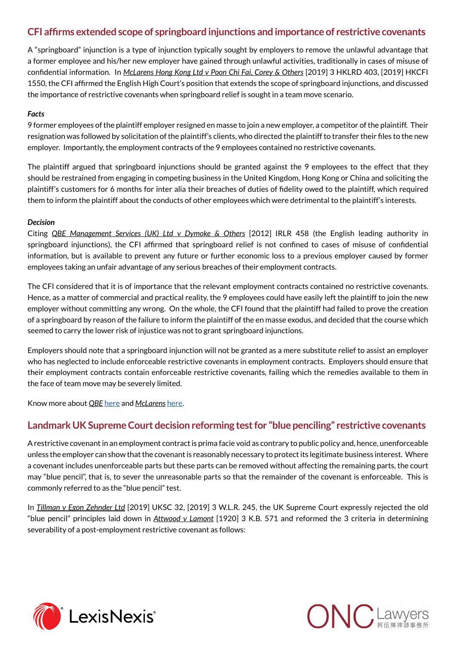## **CFI affirms extended scope of springboard injunctions and importance of restrictive covenants**

A "springboard" injunction is a type of injunction typically sought by employers to remove the unlawful advantage that a former employee and his/her new employer have gained through unlawful activities, traditionally in cases of misuse of confidential information. In *McLarens Hong Kong Ltd v Poon Chi Fai, Corey & Others* [2019] 3 HKLRD 403, [2019] HKCFI 1550, the CFI affirmed the English High Court's position that extends the scope of springboard injunctions, and discussed the importance of restrictive covenants when springboard relief is sought in a team move scenario.

#### *Facts*

9 former employees of the plaintiff employer resigned en masse to join a new employer, a competitor of the plaintiff. Their resignation was followed by solicitation of the plaintiff's clients, who directed the plaintiff to transfer their files to the new employer. Importantly, the employment contracts of the 9 employees contained no restrictive covenants.

The plaintiff argued that springboard injunctions should be granted against the 9 employees to the effect that they should be restrained from engaging in competing business in the United Kingdom, Hong Kong or China and soliciting the plaintiff's customers for 6 months for inter alia their breaches of duties of fidelity owed to the plaintiff, which required them to inform the plaintiff about the conducts of other employees which were detrimental to the plaintiff's interests.

#### *Decision*

Citing *QBE Management Services (UK) Ltd v Dymoke & Others* [2012] IRLR 458 (the English leading authority in springboard injunctions), the CFI affirmed that springboard relief is not confined to cases of misuse of confidential information, but is available to prevent any future or further economic loss to a previous employer caused by former employees taking an unfair advantage of any serious breaches of their employment contracts.

The CFI considered that it is of importance that the relevant employment contracts contained no restrictive covenants. Hence, as a matter of commercial and practical reality, the 9 employees could have easily left the plaintiff to join the new employer without committing any wrong. On the whole, the CFI found that the plaintiff had failed to prove the creation of a springboard by reason of the failure to inform the plaintiff of the en masse exodus, and decided that the course which seemed to carry the lower risk of injustice was not to grant springboard injunctions.

Employers should note that a springboard injunction will not be granted as a mere substitute relief to assist an employer who has neglected to include enforceable restrictive covenants in employment contracts. Employers should ensure that their employment contracts contain enforceable restrictive covenants, failing which the remedies available to them in the face of team move may be severely limited.

Know more about *QBE* [here](http://www.onc.hk/en_US/protection-employers-team-move-part-ii-springboard-injunction/) and *McLarens* [here](http://www.onc.hk/en_US/protection-employers-team-move-part-iii-interplay-restrictive-covenants-springboard-injunction/).

## **Landmark UK Supreme Court decision reforming test for "blue penciling" restrictive covenants**

A restrictive covenant in an employment contract is prima facie void as contrary to public policy and, hence, unenforceable unless the employer can show that the covenant is reasonably necessary to protect its legitimate business interest. Where a covenant includes unenforceable parts but these parts can be removed without affecting the remaining parts, the court may "blue pencil", that is, to sever the unreasonable parts so that the remainder of the covenant is enforceable. This is commonly referred to as the "blue pencil" test.

In *Tillman v Egon Zehnder Ltd* [2019] UKSC 32, [2019] 3 W.L.R. 245, the UK Supreme Court expressly rejected the old "blue pencil" principles laid down in *Attwood v Lamont* [1920] 3 K.B. 571 and reformed the 3 criteria in determining severability of a post-employment restrictive covenant as follows:



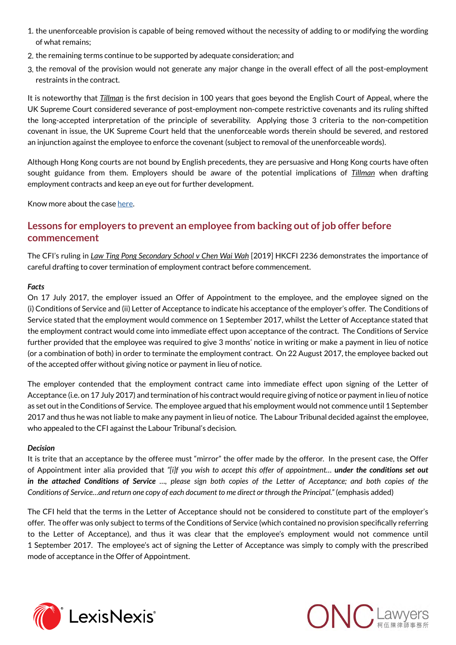- 1. the unenforceable provision is capable of being removed without the necessity of adding to or modifying the wording of what remains;
- 2. the remaining terms continue to be supported by adequate consideration; and
- 3. the removal of the provision would not generate any major change in the overall effect of all the post-employment restraints in the contract.

It is noteworthy that *Tillman* is the first decision in 100 years that goes beyond the English Court of Appeal, where the UK Supreme Court considered severance of post-employment non-compete restrictive covenants and its ruling shifted the long-accepted interpretation of the principle of severability. Applying those 3 criteria to the non-competition covenant in issue, the UK Supreme Court held that the unenforceable words therein should be severed, and restored an injunction against the employee to enforce the covenant (subject to removal of the unenforceable words).

Although Hong Kong courts are not bound by English precedents, they are persuasive and Hong Kong courts have often sought guidance from them. Employers should be aware of the potential implications of *Tillman* when drafting employment contracts and keep an eye out for further development.

Know more about the case [here.](http://www.onc.hk/en_US/uk-supreme-courts-decision-tillman-v-egon-zehnder-ltd-landmark-restrictive-covenant-case-blue-pencil-test/)

## **Lessons for employers to prevent an employee from backing out of job offer before commencement**

The CFI's ruling in *Law Ting Pong Secondary School v Chen Wai Wah* [2019] HKCFI 2236 demonstrates the importance of careful drafting to cover termination of employment contract before commencement.

#### *Facts*

On 17 July 2017, the employer issued an Offer of Appointment to the employee, and the employee signed on the (i) Conditions of Service and (ii) Letter of Acceptance to indicate his acceptance of the employer's offer. The Conditions of Service stated that the employment would commence on 1 September 2017, whilst the Letter of Acceptance stated that the employment contract would come into immediate effect upon acceptance of the contract. The Conditions of Service further provided that the employee was required to give 3 months' notice in writing or make a payment in lieu of notice (or a combination of both) in order to terminate the employment contract. On 22 August 2017, the employee backed out of the accepted offer without giving notice or payment in lieu of notice.

The employer contended that the employment contract came into immediate effect upon signing of the Letter of Acceptance (i.e. on 17 July 2017) and termination of his contract would require giving of notice or payment in lieu of notice as set out in the Conditions of Service. The employee argued that his employment would not commence until 1 September 2017 and thus he was not liable to make any payment in lieu of notice. The Labour Tribunal decided against the employee, who appealed to the CFI against the Labour Tribunal's decision.

#### *Decision*

It is trite that an acceptance by the offeree must "mirror" the offer made by the offeror. In the present case, the Offer of Appointment inter alia provided that *"[i]f you wish to accept this offer of appointment… under the conditions set out in the attached Conditions of Service …, please sign both copies of the Letter of Acceptance; and both copies of the Conditions of Service…and return one copy of each document to me direct or through the Principal."* (emphasis added)

The CFI held that the terms in the Letter of Acceptance should not be considered to constitute part of the employer's offer. The offer was only subject to terms of the Conditions of Service (which contained no provision specifically referring to the Letter of Acceptance), and thus it was clear that the employee's employment would not commence until 1 September 2017. The employee's act of signing the Letter of Acceptance was simply to comply with the prescribed mode of acceptance in the Offer of Appointment.